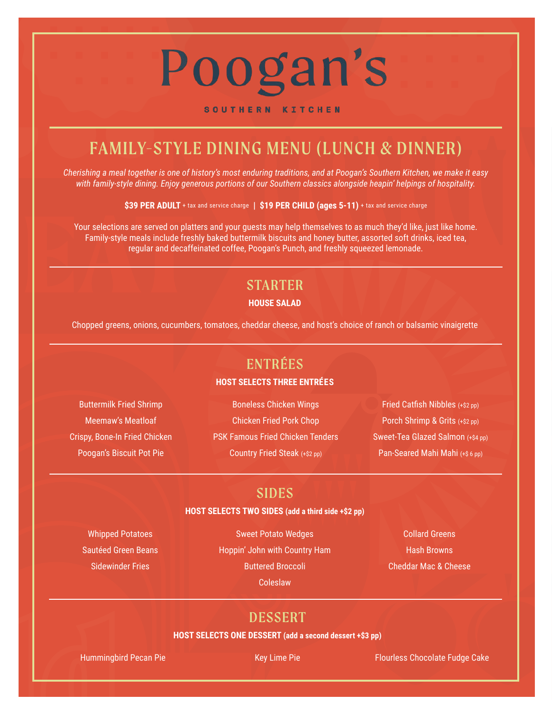# Poogan's

#### SOUTHERN KITCHEN

# FAMILY-STYLE DINING MENU (LUNCH & DINNER)

*Cherishing a meal together is one of history's most enduring traditions, and at Poogan's Southern Kitchen, we make it easy with family-style dining. Enjoy generous portions of our Southern classics alongside heapin' helpings of hospitality.*

**\$39 PER ADULT** + tax and service charge **| \$19 PER CHILD (ages 5-11)** + tax and service charge

Your selections are served on platters and your guests may help themselves to as much they'd like, just like home. Family-style meals include freshly baked buttermilk biscuits and honey butter, assorted soft drinks, iced tea, regular and decaffeinated coffee, Poogan's Punch, and freshly squeezed lemonade.

# STARTER

#### **HOUSE SALAD**

Chopped greens, onions, cucumbers, tomatoes, cheddar cheese, and host's choice of ranch or balsamic vinaigrette

# ENTRÉES

#### **HOST SELECTS THREE ENTRÉES**

Buttermilk Fried Shrimp Meemaw's Meatloaf Crispy, Bone-In Fried Chicken Poogan's Biscuit Pot Pie

Boneless Chicken Wings Chicken Fried Pork Chop PSK Famous Fried Chicken Tenders Country Fried Steak (+\$2 pp)

Fried Catfish Nibbles (+\$2 pp) Porch Shrimp & Grits (+\$2 pp) Sweet-Tea Glazed Salmon (+\$4 pp) Pan-Seared Mahi Mahi (+\$ 6 pp)

### SIDES

#### **HOST SELECTS TWO SIDES (add a third side +\$2 pp)**

Whipped Potatoes Sautéed Green Beans Sidewinder Fries

Sweet Potato Wedges Hoppin' John with Country Ham Buttered Broccoli Coleslaw

Collard Greens Hash Browns Cheddar Mac & Cheese

## DESSERT

#### **HOST SELECTS ONE DESSERT (add a second dessert +\$3 pp)**

Hummingbird Pecan Pie **Key Lime Pie Flourless Chocolate Fudge Cake** Flourless Chocolate Fudge Cake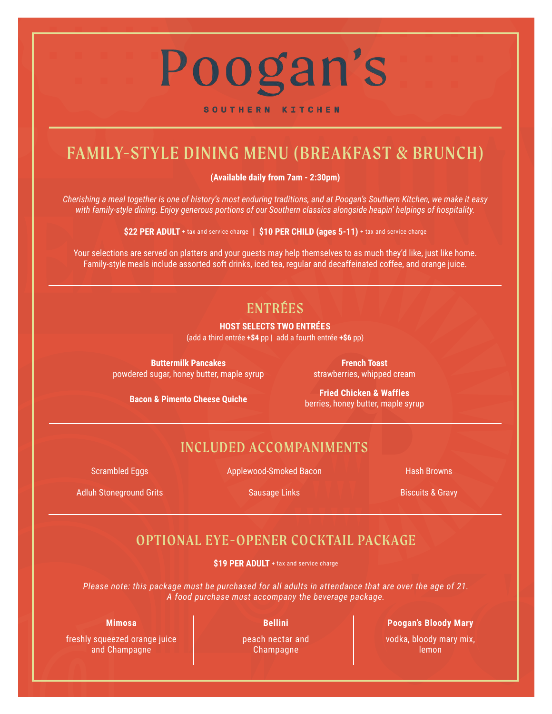# Poogan's

#### SOUTHERN KITCHEN

# FAMILY-STYLE DINING MENU (BREAKFAST & BRUNCH)

**(Available daily from 7am - 2:30pm)**

*Cherishing a meal together is one of history's most enduring traditions, and at Poogan's Southern Kitchen, we make it easy with family-style dining. Enjoy generous portions of our Southern classics alongside heapin' helpings of hospitality.*

**\$22 PER ADULT** + tax and service charge **| \$10 PER CHILD (ages 5-11)** + tax and service charge

Your selections are served on platters and your guests may help themselves to as much they'd like, just like home. Family-style meals include assorted soft drinks, iced tea, regular and decaffeinated coffee, and orange juice.

# ENTRÉES

#### **HOST SELECTS TWO ENTRÉES**

(add a third entrée **+\$4** pp | add a fourth entrée **+\$6** pp)

**Buttermilk Pancakes** powdered sugar, honey butter, maple syrup strawberries, whipped cream

**French Toast**

**Bacon & Pimento Cheese Quiche**

**Fried Chicken & Waffles** berries, honey butter, maple syrup

## INCLUDED ACCOMPANIMENTS

Scrambled Eggs

Applewood-Smoked Bacon

Hash Browns

Adluh Stoneground Grits

Sausage Links

Biscuits & Gravy

# OPTIONAL EYE-OPENER COCKTAIL PACKAGE

**\$19 PER ADULT** + tax and service charge

*Please note: this package must be purchased for all adults in attendance that are over the age of 21. A food purchase must accompany the beverage package.*

#### **Mimosa**

freshly squeezed orange juice and Champagne

**Bellini** 

peach nectar and Champagne

#### **Poogan's Bloody Mary**

vodka, bloody mary mix, lemon